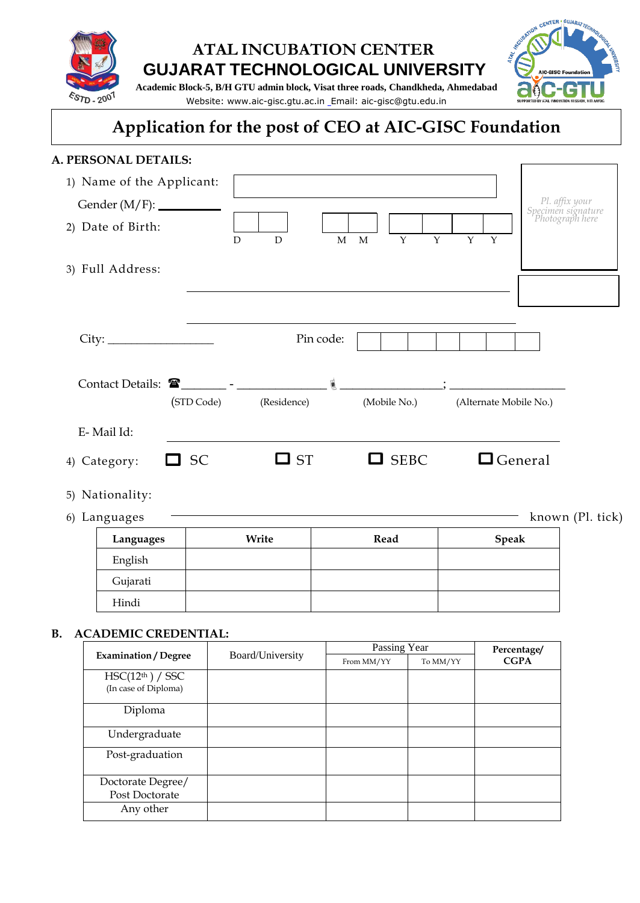

## **ATAL INCUBATION CENTER GUJARAT TECHNOLOGICAL UNIVERSITY**



**Academic Block-5, B/H GTU admin block, Visat three roads, Chandkheda, Ahmedabad**  Website: www.aic-gisc.gtu.ac.in Email: aic-gisc@gtu.edu.in

# **Application for the post of CEO at AIC-GISC Foundation**

#### **A. PERSONAL DETAILS:**

| 1) Name of the Applicant:<br>Gender (M/F): __________<br>2) Date of Birth: | D          | $\mathbf M$<br>D | $\mathbf{Y}$<br>$\mathbf{Y}$<br>$\mathbf{M}$ | Y<br>Y                 | Pl. affix your<br>Specimen signature<br>Photograph here |
|----------------------------------------------------------------------------|------------|------------------|----------------------------------------------|------------------------|---------------------------------------------------------|
| 3) Full Address:                                                           |            |                  |                                              |                        |                                                         |
|                                                                            |            | Pin code:        |                                              |                        |                                                         |
| Contact Details:                                                           | (STD Code) | (Residence)      | (Mobile No.)                                 | (Alternate Mobile No.) |                                                         |
| E-Mail Id:                                                                 |            |                  |                                              |                        |                                                         |
| $\sqsupset$ SC<br>4) Category:                                             |            | $\square$ ST     | $\Box$ SEBC                                  | $\Box$ General         |                                                         |
| 5) Nationality:                                                            |            |                  |                                              |                        |                                                         |
| 6) Languages                                                               |            |                  |                                              |                        | known (Pl. tick)                                        |

| Languages | Write | Read | <b>Speak</b> |
|-----------|-------|------|--------------|
| English   |       |      |              |
| Gujarati  |       |      |              |
| Hindi     |       |      |              |

#### **B. ACADEMIC CREDENTIAL:**

|                                                      |                  | Passing Year | Percentage/ |             |
|------------------------------------------------------|------------------|--------------|-------------|-------------|
| <b>Examination / Degree</b>                          | Board/University | From MM/YY   | To MM/YY    | <b>CGPA</b> |
| HSC(12 <sup>th</sup> ) / SSC<br>(In case of Diploma) |                  |              |             |             |
| Diploma                                              |                  |              |             |             |
| Undergraduate                                        |                  |              |             |             |
| Post-graduation                                      |                  |              |             |             |
| Doctorate Degree/<br>Post Doctorate                  |                  |              |             |             |
| Any other                                            |                  |              |             |             |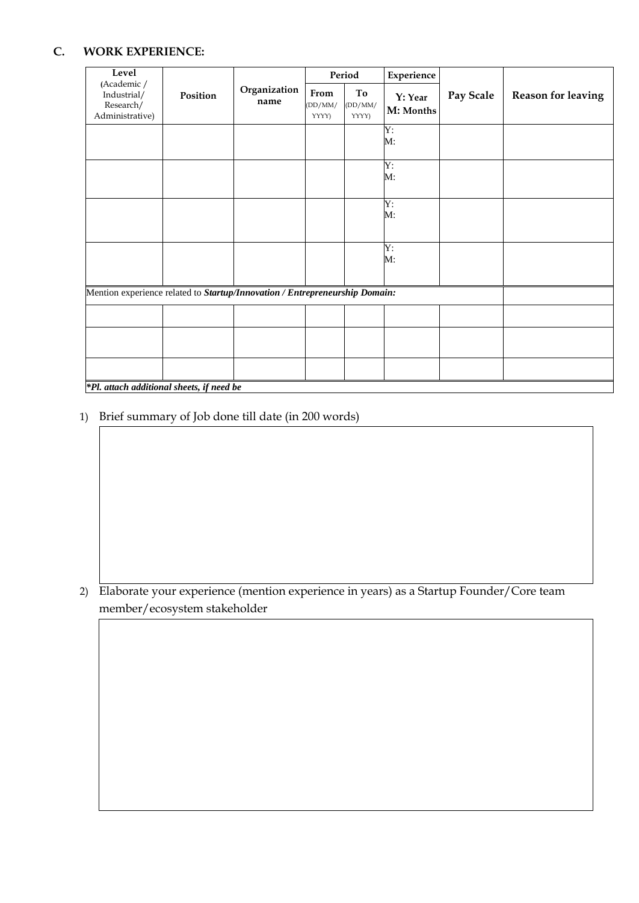#### **C. WORK EXPERIENCE:**

| Level                                                                       |          |                      | Period                   |                        | Experience           |           |                           |
|-----------------------------------------------------------------------------|----------|----------------------|--------------------------|------------------------|----------------------|-----------|---------------------------|
| (Academic /<br>Industrial/<br>Research/<br>Administrative)                  | Position | Organization<br>name | From<br>(DD/MM)<br>YYYY) | To<br>(DD/MM)<br>YYYY) | Y: Year<br>M: Months | Pay Scale | <b>Reason for leaving</b> |
|                                                                             |          |                      |                          |                        | Y:<br>М:             |           |                           |
|                                                                             |          |                      |                          |                        | Y:<br>M:             |           |                           |
|                                                                             |          |                      |                          |                        | Y:<br>$M$ :          |           |                           |
|                                                                             |          |                      |                          |                        | Y:<br>M:             |           |                           |
| Mention experience related to Startup/Innovation / Entrepreneurship Domain: |          |                      |                          |                        |                      |           |                           |
|                                                                             |          |                      |                          |                        |                      |           |                           |
|                                                                             |          |                      |                          |                        |                      |           |                           |
| <b>*Pl</b> attach additional sheets if need he                              |          |                      |                          |                        |                      |           |                           |

*\*Pl. attach additional sheets, if need be*

1) Brief summary of Job done till date (in 200 words)

2) Elaborate your experience (mention experience in years) as a Startup Founder/Core team member/ecosystem stakeholder